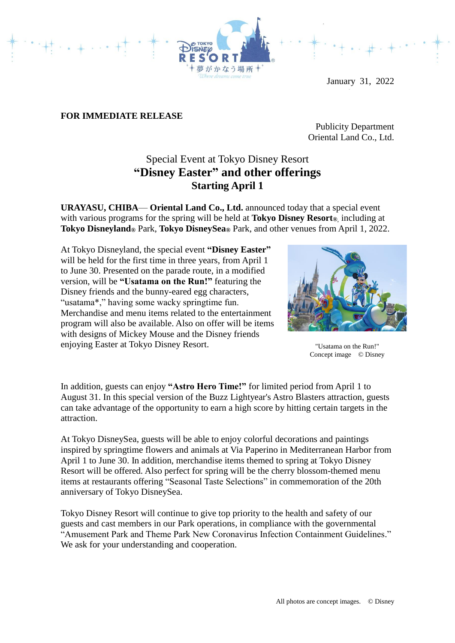

January 31, 2022

## **FOR IMMEDIATE RELEASE**

Publicity Department Oriental Land Co., Ltd.

## Special Event at Tokyo Disney Resort **"Disney Easter" and other offerings Starting April 1**

**URAYASU, CHIBA**— **Oriental Land Co., Ltd.** announced today that a special event with various programs for the spring will be held at **Tokyo Disney Resort®**, including at **Tokyo Disneyland®** Park, **Tokyo DisneySea®** Park, and other venues from April 1, 2022.

At Tokyo Disneyland, the special event **"Disney Easter"** will be held for the first time in three years, from April 1 to June 30. Presented on the parade route, in a modified version, will be **"Usatama on the Run!"** featuring the Disney friends and the bunny-eared egg characters, "usatama\*," having some wacky springtime fun. Merchandise and menu items related to the entertainment program will also be available. Also on offer will be items with designs of Mickey Mouse and the Disney friends enjoying Easter at Tokyo Disney Resort.



"Usatama on the Run!" Concept image © Disney

In addition, guests can enjoy **"Astro Hero Time!"** for limited period from April 1 to August 31. In this special version of the Buzz Lightyear's Astro Blasters attraction, guests can take advantage of the opportunity to earn a high score by hitting certain targets in the attraction.

At Tokyo DisneySea, guests will be able to enjoy colorful decorations and paintings inspired by springtime flowers and animals at Via Paperino in Mediterranean Harbor from April 1 to June 30. In addition, merchandise items themed to spring at Tokyo Disney Resort will be offered. Also perfect for spring will be the cherry blossom-themed menu items at restaurants offering "Seasonal Taste Selections" in commemoration of the 20th anniversary of Tokyo DisneySea.

Tokyo Disney Resort will continue to give top priority to the health and safety of our guests and cast members in our Park operations, in compliance with the governmental "Amusement Park and Theme Park New Coronavirus Infection Containment Guidelines." We ask for your understanding and cooperation.